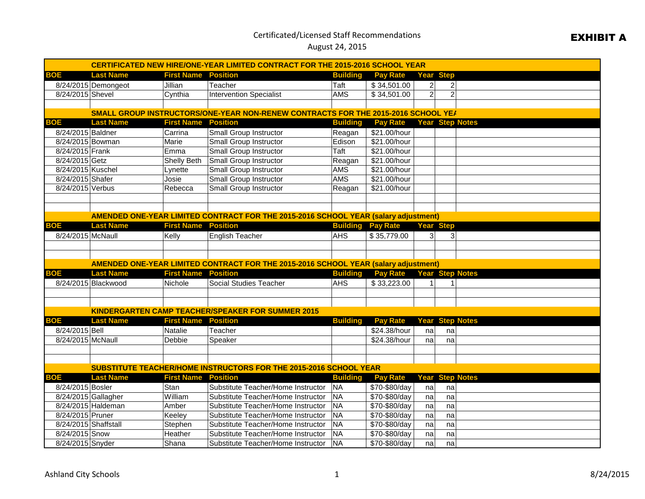## Certificated/Licensed Staff Recommendations

## August 24, 2015

| <b>CERTIFICATED NEW HIRE/ONE-YEAR LIMITED CONTRACT FOR THE 2015-2016 SCHOOL YEAR</b> |                     |                            |                                                                                            |                 |                 |                  |                |                        |  |
|--------------------------------------------------------------------------------------|---------------------|----------------------------|--------------------------------------------------------------------------------------------|-----------------|-----------------|------------------|----------------|------------------------|--|
| BOE                                                                                  | <b>Last Name</b>    | <b>First Name Position</b> |                                                                                            | <b>Building</b> | <b>Pay Rate</b> | Year Step        |                |                        |  |
|                                                                                      | 8/24/2015 Demongeot | Jillian                    | Teacher                                                                                    | Taft            | \$34,501.00     | $\overline{a}$   | $\overline{c}$ |                        |  |
| 8/24/2015 Shevel                                                                     |                     | Cynthia                    | <b>Intervention Specialist</b>                                                             | <b>AMS</b>      | \$34,501.00     | $\overline{2}$   | $\overline{2}$ |                        |  |
|                                                                                      |                     |                            |                                                                                            |                 |                 |                  |                |                        |  |
|                                                                                      |                     |                            | SMALL GROUP INSTRUCTORS/ONE-YEAR NON-RENEW CONTRACTS FOR THE 2015-2016 SCHOOL YEA          |                 |                 |                  |                |                        |  |
| BOE                                                                                  | <b>Last Name</b>    | <b>First Name</b>          | <b>Position</b>                                                                            | <b>Building</b> | <b>Pay Rate</b> |                  |                | <b>Year Step Notes</b> |  |
| 8/24/2015 Baldner                                                                    |                     | Carrina                    | <b>Small Group Instructor</b>                                                              | Reagan          | \$21.00/hour    |                  |                |                        |  |
| 8/24/2015 Bowman                                                                     |                     | Marie                      | <b>Small Group Instructor</b>                                                              | Edison          | \$21.00/hour    |                  |                |                        |  |
| 8/24/2015 Frank                                                                      |                     | Emma                       | <b>Small Group Instructor</b>                                                              | Taft            | \$21.00/hour    |                  |                |                        |  |
| 8/24/2015 Getz                                                                       |                     | <b>Shelly Beth</b>         | Small Group Instructor                                                                     | Reagan          | \$21.00/hour    |                  |                |                        |  |
| 8/24/2015 Kuschel                                                                    |                     | Lynette                    | <b>Small Group Instructor</b>                                                              | <b>AMS</b>      | \$21.00/hour    |                  |                |                        |  |
| 8/24/2015 Shafer                                                                     |                     | Josie                      | Small Group Instructor                                                                     | <b>AMS</b>      | \$21.00/hour    |                  |                |                        |  |
| 8/24/2015 Verbus                                                                     |                     | Rebecca                    | Small Group Instructor                                                                     | Reagan          | \$21.00/hour    |                  |                |                        |  |
|                                                                                      |                     |                            |                                                                                            |                 |                 |                  |                |                        |  |
|                                                                                      |                     |                            |                                                                                            |                 |                 |                  |                |                        |  |
|                                                                                      |                     |                            | AMENDED ONE-YEAR LIMITED CONTRACT FOR THE 2015-2016 SCHOOL YEAR (salary adjustment)        |                 |                 |                  |                |                        |  |
| <b>BOE</b>                                                                           | <b>Last Name</b>    | <b>First Name</b>          | <b>Position</b>                                                                            | <b>Building</b> | <b>Pay Rate</b> | <b>Year Step</b> |                |                        |  |
| 8/24/2015 McNaull                                                                    |                     | Kelly                      | <b>English Teacher</b>                                                                     | <b>AHS</b>      | \$35,779.00     | 3 <sup>1</sup>   | 31             |                        |  |
|                                                                                      |                     |                            |                                                                                            |                 |                 |                  |                |                        |  |
|                                                                                      |                     |                            |                                                                                            |                 |                 |                  |                |                        |  |
|                                                                                      |                     |                            | <b>AMENDED ONE-YEAR LIMITED CONTRACT FOR THE 2015-2016 SCHOOL YEAR (salary adjustment)</b> |                 |                 |                  |                |                        |  |
| <b>BOE</b>                                                                           | <b>Last Name</b>    | <b>First Name Position</b> |                                                                                            | <b>Building</b> | <b>Pay Rate</b> |                  |                | <b>Year Step Notes</b> |  |
|                                                                                      | 8/24/2015 Blackwood | Nichole                    | Social Studies Teacher                                                                     | <b>AHS</b>      | \$33,223.00     |                  |                |                        |  |
|                                                                                      |                     |                            |                                                                                            |                 |                 |                  |                |                        |  |
|                                                                                      |                     |                            |                                                                                            |                 |                 |                  |                |                        |  |
|                                                                                      |                     |                            | <b>KINDERGARTEN CAMP TEACHER/SPEAKER FOR SUMMER 2015</b>                                   |                 |                 |                  |                |                        |  |
| <b>BOE</b>                                                                           | <b>Last Name</b>    | <b>First Name Position</b> |                                                                                            | <b>Building</b> | <b>Pay Rate</b> |                  |                | <b>Year Step Notes</b> |  |
| 8/24/2015 Bell                                                                       |                     | Natalie                    | Teacher                                                                                    |                 | \$24.38/hour    | nal              | na             |                        |  |
| 8/24/2015 McNaull                                                                    |                     | Debbie                     | Speaker                                                                                    |                 | \$24.38/hour    | na               | na             |                        |  |
|                                                                                      |                     |                            |                                                                                            |                 |                 |                  |                |                        |  |
|                                                                                      |                     |                            |                                                                                            |                 |                 |                  |                |                        |  |
| SUBSTITUTE TEACHER/HOME INSTRUCTORS FOR THE 2015-2016 SCHOOL YEAR                    |                     |                            |                                                                                            |                 |                 |                  |                |                        |  |
| <b>BOE</b>                                                                           | <b>Last Name</b>    | <b>First Name Position</b> |                                                                                            | <b>Building</b> | <b>Pay Rate</b> |                  |                | <b>Year Step Notes</b> |  |
| 8/24/2015 Bosler                                                                     |                     | Stan                       | Substitute Teacher/Home Instructor                                                         | <b>NA</b>       | \$70-\$80/day   | nal              | na             |                        |  |
| 8/24/2015 Gallagher                                                                  |                     | William                    | Substitute Teacher/Home Instructor                                                         | NA              | \$70-\$80/day   | na               | na             |                        |  |
|                                                                                      | 8/24/2015 Haldeman  | Amber                      | Substitute Teacher/Home Instructor                                                         | <b>NA</b>       | \$70-\$80/day   | na               | na             |                        |  |
| 8/24/2015 Pruner                                                                     |                     | Keeley                     | Substitute Teacher/Home Instructor                                                         | <b>NA</b>       | \$70-\$80/day   | na               | na             |                        |  |
| 8/24/2015 Shaffstall                                                                 |                     | Stephen                    | Substitute Teacher/Home Instructor                                                         | <b>NA</b>       | \$70-\$80/day   | na               | na             |                        |  |
| 8/24/2015 Snow                                                                       |                     | Heather                    | Substitute Teacher/Home Instructor                                                         | NA              | \$70-\$80/day   | na               | na             |                        |  |
| 8/24/2015 Snyder                                                                     |                     | Shana                      | Substitute Teacher/Home Instructor                                                         | <b>NA</b>       | \$70-\$80/day   | na               | nal            |                        |  |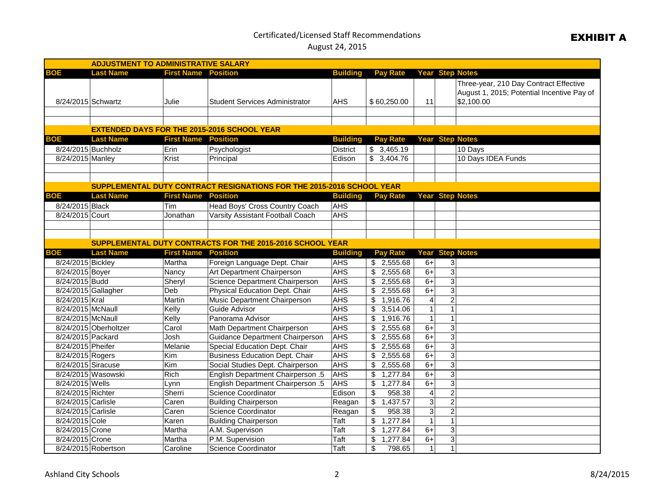## Certificated/Licensed Staff Recommendations

August 24, 2015

| <b>ADJUSTMENT TO ADMINISTRATIVE SALARY</b> |                                                                       |                            |                                                           |                 |                           |                        |                        |                                                                                                    |  |  |
|--------------------------------------------|-----------------------------------------------------------------------|----------------------------|-----------------------------------------------------------|-----------------|---------------------------|------------------------|------------------------|----------------------------------------------------------------------------------------------------|--|--|
| <b>BOE</b>                                 | <b>Last Name</b>                                                      | <b>First Name Position</b> |                                                           | <b>Building</b> | <b>Pay Rate</b>           | <b>Year Step Notes</b> |                        |                                                                                                    |  |  |
| 8/24/2015 Schwartz                         |                                                                       | Julie                      | <b>Student Services Administrator</b>                     | <b>AHS</b>      | \$60,250.00               | 11                     |                        | Three-year, 210 Day Contract Effective<br>August 1, 2015; Potential Incentive Pay of<br>\$2,100.00 |  |  |
|                                            |                                                                       |                            |                                                           |                 |                           |                        |                        |                                                                                                    |  |  |
|                                            |                                                                       |                            | <b>EXTENDED DAYS FOR THE 2015-2016 SCHOOL YEAR</b>        |                 |                           |                        |                        |                                                                                                    |  |  |
| <b>BOE</b>                                 | <b>Last Name</b>                                                      | <b>First Name Position</b> |                                                           | <b>Building</b> | <b>Pay Rate</b>           |                        | <b>Year Step Notes</b> |                                                                                                    |  |  |
| 8/24/2015 Buchholz                         |                                                                       | Erin                       | Psychologist                                              | <b>District</b> | \$3,465.19                |                        |                        | 10 Days                                                                                            |  |  |
| 8/24/2015 Manley                           |                                                                       | Krist                      | Principal                                                 | Edison          | \$3,404.76                |                        |                        | 10 Days IDEA Funds                                                                                 |  |  |
|                                            |                                                                       |                            |                                                           |                 |                           |                        |                        |                                                                                                    |  |  |
|                                            |                                                                       |                            |                                                           |                 |                           |                        |                        |                                                                                                    |  |  |
|                                            | SUPPLEMENTAL DUTY CONTRACT RESIGNATIONS FOR THE 2015-2016 SCHOOL YEAR |                            |                                                           |                 |                           |                        |                        |                                                                                                    |  |  |
| <b>BOE</b>                                 | <b>Last Name</b>                                                      | <b>First Name</b>          | <b>Position</b>                                           | <b>Building</b> | <b>Pay Rate</b>           |                        | <b>Year Step Notes</b> |                                                                                                    |  |  |
| 8/24/2015 Black                            |                                                                       | Tim                        | Head Boys' Cross Country Coach                            | <b>AHS</b>      |                           |                        |                        |                                                                                                    |  |  |
| 8/24/2015 Court                            |                                                                       | Jonathan                   | Varsity Assistant Football Coach                          | <b>AHS</b>      |                           |                        |                        |                                                                                                    |  |  |
|                                            |                                                                       |                            |                                                           |                 |                           |                        |                        |                                                                                                    |  |  |
|                                            |                                                                       |                            |                                                           |                 |                           |                        |                        |                                                                                                    |  |  |
|                                            |                                                                       |                            | SUPPLEMENTAL DUTY CONTRACTS FOR THE 2015-2016 SCHOOL YEAR |                 |                           |                        |                        |                                                                                                    |  |  |
| <b>BOE</b>                                 | <b>Last Name</b>                                                      | <b>First Name</b>          | <b>Position</b>                                           | <b>Building</b> | <b>Pay Rate</b>           | Year                   |                        | <b>Step Notes</b>                                                                                  |  |  |
| 8/24/2015 Bickley                          |                                                                       | Martha                     | Foreign Language Dept. Chair                              | <b>AHS</b>      | \$2,555.68                | $6+$                   | 3                      |                                                                                                    |  |  |
| 8/24/2015 Boyer                            |                                                                       | Nancy                      | Art Department Chairperson                                | <b>AHS</b>      | \$<br>2,555.68            | $6+$                   | $\overline{3}$         |                                                                                                    |  |  |
| 8/24/2015 Budd                             |                                                                       | Sheryl                     | Science Department Chairperson                            | <b>AHS</b>      | 2,555.68<br>\$            | $6+$                   | $\overline{3}$         |                                                                                                    |  |  |
| 8/24/2015 Gallagher                        |                                                                       | Deb                        | Physical Education Dept. Chair                            | <b>AHS</b>      | 2,555.68<br>\$            | $6+$                   | $\overline{3}$         |                                                                                                    |  |  |
| 8/24/2015 Kral                             |                                                                       | Martin                     | <b>Music Department Chairperson</b>                       | <b>AHS</b>      | 1,916.76<br>\$            | $\overline{4}$         | $\overline{2}$         |                                                                                                    |  |  |
| 8/24/2015 McNaull                          |                                                                       | Kelly                      | Guide Advisor                                             | <b>AHS</b>      | \$3,514.06                | $\mathbf{1}$           | $\mathbf{1}$           |                                                                                                    |  |  |
| 8/24/2015 McNaull                          |                                                                       | Kelly                      | Panorama Advisor                                          | <b>AHS</b>      | 1,916.76<br>\$            | $\mathbf{1}$           | $\mathbf{1}$           |                                                                                                    |  |  |
|                                            | 8/24/2015 Oberholtzer                                                 | Carol                      | Math Department Chairperson                               | <b>AHS</b>      | 2,555.68<br>\$            | $6+$                   | $\overline{3}$         |                                                                                                    |  |  |
| 8/24/2015 Packard                          |                                                                       | Josh                       | Guidance Department Chairperson                           | <b>AHS</b>      | 2,555.68<br>\$            | $6+$                   | $\overline{3}$         |                                                                                                    |  |  |
| 8/24/2015 Pheifer                          |                                                                       | Melanie                    | Special Education Dept. Chair                             | <b>AHS</b>      | 2,555.68<br>\$            | $6+$                   | $\overline{3}$         |                                                                                                    |  |  |
| 8/24/2015 Rogers                           |                                                                       | Kim                        | <b>Business Education Dept. Chair</b>                     | <b>AHS</b>      | 2,555.68<br>\$            | $6+$                   | $\overline{3}$         |                                                                                                    |  |  |
| 8/24/2015 Siracuse                         |                                                                       | Kim                        | Social Studies Dept. Chairperson                          | <b>AHS</b>      | 2,555.68<br>\$            | $6+$                   | $\overline{3}$         |                                                                                                    |  |  |
| 8/24/2015 Wasowski                         |                                                                       | Rich                       | English Department Chairperson .5                         | <b>AHS</b>      | \$<br>1,277.84            | $6+$                   | $\overline{3}$         |                                                                                                    |  |  |
| 8/24/2015 Wells                            |                                                                       | Lynn                       | English Department Chairperson .5                         | <b>AHS</b>      | $\frac{1}{2}$<br>1,277.84 | $6+$                   | $\overline{3}$         |                                                                                                    |  |  |
| 8/24/2015 Richter                          |                                                                       | Sherri                     | <b>Science Coordinator</b>                                | Edison          | \$<br>958.38              | $\overline{4}$         | $\overline{2}$         |                                                                                                    |  |  |
| 8/24/2015 Carlisle                         |                                                                       | Caren                      | <b>Building Chairperson</b>                               | Reagan          | \$<br>1,437.57            | $\overline{3}$         | $\overline{2}$         |                                                                                                    |  |  |
| 8/24/2015 Carlisle                         |                                                                       | Caren                      | Science Coordinator                                       | Reagan          | \$<br>958.38              | $\overline{3}$         | $\overline{2}$         |                                                                                                    |  |  |
| 8/24/2015 Cole                             |                                                                       | Karen                      | <b>Building Chairperson</b>                               | Taft            | \$<br>1,277.84            | $\mathbf{1}$           | $\overline{1}$         |                                                                                                    |  |  |
| 8/24/2015 Crone                            |                                                                       | Martha                     | A.M. Supervison                                           | Taft            | 1,277.84<br>\$            | $6+$                   | $\overline{3}$         |                                                                                                    |  |  |
| 8/24/2015 Crone                            |                                                                       | Martha                     | P.M. Supervision                                          | Taft            | 1,277.84<br>\$            | $6+$                   | 3                      |                                                                                                    |  |  |
|                                            | 8/24/2015 Robertson                                                   | Caroline                   | <b>Science Coordinator</b>                                | Taft            | \$<br>798.65              | $\mathbf{1}$           | $\mathbf{1}$           |                                                                                                    |  |  |